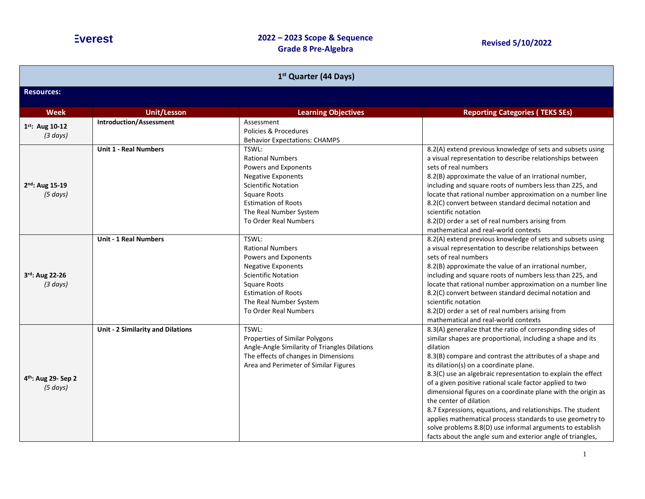| 1st Quarter (44 Days)                       |                                   |                                                                                                                                                                                                                             |                                                                                                                                                                                                                                                                                                                                                                                                                                                                                                                                                                                                                                                                                                                         |
|---------------------------------------------|-----------------------------------|-----------------------------------------------------------------------------------------------------------------------------------------------------------------------------------------------------------------------------|-------------------------------------------------------------------------------------------------------------------------------------------------------------------------------------------------------------------------------------------------------------------------------------------------------------------------------------------------------------------------------------------------------------------------------------------------------------------------------------------------------------------------------------------------------------------------------------------------------------------------------------------------------------------------------------------------------------------------|
| <b>Resources:</b>                           |                                   |                                                                                                                                                                                                                             |                                                                                                                                                                                                                                                                                                                                                                                                                                                                                                                                                                                                                                                                                                                         |
| <b>Week</b>                                 | <b>Unit/Lesson</b>                | <b>Learning Objectives</b>                                                                                                                                                                                                  | <b>Reporting Categories (TEKS SEs)</b>                                                                                                                                                                                                                                                                                                                                                                                                                                                                                                                                                                                                                                                                                  |
| 1st: Aug 10-12<br>(3 days)                  | <b>Introduction/Assessment</b>    | Assessment<br>Policies & Procedures<br><b>Behavior Expectations: CHAMPS</b>                                                                                                                                                 |                                                                                                                                                                                                                                                                                                                                                                                                                                                                                                                                                                                                                                                                                                                         |
| 2nd: Aug 15-19<br>(5 days)                  | <b>Unit 1 - Real Numbers</b>      | TSWL:<br><b>Rational Numbers</b><br>Powers and Exponents<br><b>Negative Exponents</b><br><b>Scientific Notation</b><br><b>Square Roots</b><br><b>Estimation of Roots</b><br>The Real Number System<br>To Order Real Numbers | 8.2(A) extend previous knowledge of sets and subsets using<br>a visual representation to describe relationships between<br>sets of real numbers<br>8.2(B) approximate the value of an irrational number,<br>including and square roots of numbers less than 225, and<br>locate that rational number approximation on a number line<br>8.2(C) convert between standard decimal notation and<br>scientific notation<br>8.2(D) order a set of real numbers arising from<br>mathematical and real-world contexts                                                                                                                                                                                                            |
| 3rd: Aug 22-26<br>(3 days)                  | <b>Unit - 1 Real Numbers</b>      | TSWL:<br><b>Rational Numbers</b><br>Powers and Exponents<br><b>Negative Exponents</b><br><b>Scientific Notation</b><br>Square Roots<br><b>Estimation of Roots</b><br>The Real Number System<br>To Order Real Numbers        | 8.2(A) extend previous knowledge of sets and subsets using<br>a visual representation to describe relationships between<br>sets of real numbers<br>8.2(B) approximate the value of an irrational number,<br>including and square roots of numbers less than 225, and<br>locate that rational number approximation on a number line<br>8.2(C) convert between standard decimal notation and<br>scientific notation<br>8.2(D) order a set of real numbers arising from<br>mathematical and real-world contexts                                                                                                                                                                                                            |
| 4 <sup>th</sup> : Aug 29- Sep 2<br>(5 days) | Unit - 2 Similarity and Dilations | TSWL:<br>Properties of Similar Polygons<br>Angle-Angle Similarity of Triangles Dilations<br>The effects of changes in Dimensions<br>Area and Perimeter of Similar Figures                                                   | 8.3(A) generalize that the ratio of corresponding sides of<br>similar shapes are proportional, including a shape and its<br>dilation<br>8.3(B) compare and contrast the attributes of a shape and<br>its dilation(s) on a coordinate plane.<br>8.3(C) use an algebraic representation to explain the effect<br>of a given positive rational scale factor applied to two<br>dimensional figures on a coordinate plane with the origin as<br>the center of dilation<br>8.7 Expressions, equations, and relationships. The student<br>applies mathematical process standards to use geometry to<br>solve problems 8.8(D) use informal arguments to establish<br>facts about the angle sum and exterior angle of triangles, |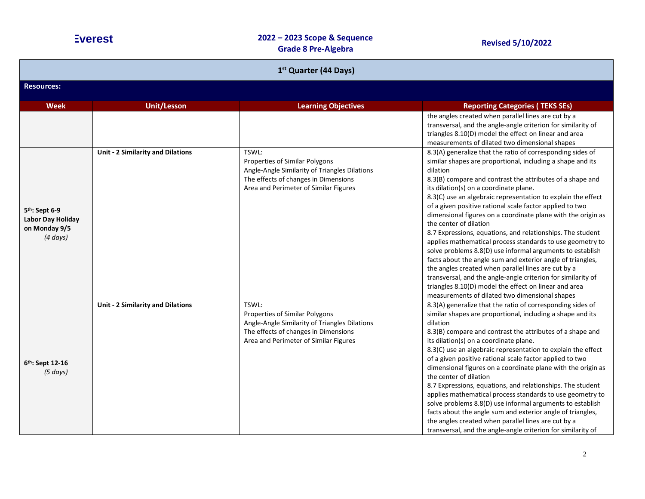| 1 <sup>st</sup> Quarter (44 Days)                                                 |                                          |                                                                                                                                                                           |                                                                                                                                                                                                                                                                                                                                                                                                                                                                                                                                                                                                                                                                                                                                                                                                                                                                                                                                                           |  |
|-----------------------------------------------------------------------------------|------------------------------------------|---------------------------------------------------------------------------------------------------------------------------------------------------------------------------|-----------------------------------------------------------------------------------------------------------------------------------------------------------------------------------------------------------------------------------------------------------------------------------------------------------------------------------------------------------------------------------------------------------------------------------------------------------------------------------------------------------------------------------------------------------------------------------------------------------------------------------------------------------------------------------------------------------------------------------------------------------------------------------------------------------------------------------------------------------------------------------------------------------------------------------------------------------|--|
| <b>Resources:</b>                                                                 |                                          |                                                                                                                                                                           |                                                                                                                                                                                                                                                                                                                                                                                                                                                                                                                                                                                                                                                                                                                                                                                                                                                                                                                                                           |  |
| <b>Week</b>                                                                       | <b>Unit/Lesson</b>                       | <b>Learning Objectives</b>                                                                                                                                                | <b>Reporting Categories (TEKS SEs)</b>                                                                                                                                                                                                                                                                                                                                                                                                                                                                                                                                                                                                                                                                                                                                                                                                                                                                                                                    |  |
|                                                                                   |                                          |                                                                                                                                                                           | the angles created when parallel lines are cut by a<br>transversal, and the angle-angle criterion for similarity of<br>triangles 8.10(D) model the effect on linear and area<br>measurements of dilated two dimensional shapes                                                                                                                                                                                                                                                                                                                                                                                                                                                                                                                                                                                                                                                                                                                            |  |
| 5 <sup>th</sup> : Sept 6-9<br>Labor Day Holiday<br>on Monday 9/5<br>$(4 \, days)$ | Unit - 2 Similarity and Dilations        | TSWL:<br>Properties of Similar Polygons<br>Angle-Angle Similarity of Triangles Dilations<br>The effects of changes in Dimensions<br>Area and Perimeter of Similar Figures | 8.3(A) generalize that the ratio of corresponding sides of<br>similar shapes are proportional, including a shape and its<br>dilation<br>8.3(B) compare and contrast the attributes of a shape and<br>its dilation(s) on a coordinate plane.<br>8.3(C) use an algebraic representation to explain the effect<br>of a given positive rational scale factor applied to two<br>dimensional figures on a coordinate plane with the origin as<br>the center of dilation<br>8.7 Expressions, equations, and relationships. The student<br>applies mathematical process standards to use geometry to<br>solve problems 8.8(D) use informal arguments to establish<br>facts about the angle sum and exterior angle of triangles,<br>the angles created when parallel lines are cut by a<br>transversal, and the angle-angle criterion for similarity of<br>triangles 8.10(D) model the effect on linear and area<br>measurements of dilated two dimensional shapes |  |
| 6th: Sept 12-16<br>(5 days)                                                       | <b>Unit - 2 Similarity and Dilations</b> | TSWL:<br>Properties of Similar Polygons<br>Angle-Angle Similarity of Triangles Dilations<br>The effects of changes in Dimensions<br>Area and Perimeter of Similar Figures | 8.3(A) generalize that the ratio of corresponding sides of<br>similar shapes are proportional, including a shape and its<br>dilation<br>8.3(B) compare and contrast the attributes of a shape and<br>its dilation(s) on a coordinate plane.<br>8.3(C) use an algebraic representation to explain the effect<br>of a given positive rational scale factor applied to two<br>dimensional figures on a coordinate plane with the origin as<br>the center of dilation<br>8.7 Expressions, equations, and relationships. The student<br>applies mathematical process standards to use geometry to<br>solve problems 8.8(D) use informal arguments to establish<br>facts about the angle sum and exterior angle of triangles,<br>the angles created when parallel lines are cut by a<br>transversal, and the angle-angle criterion for similarity of                                                                                                            |  |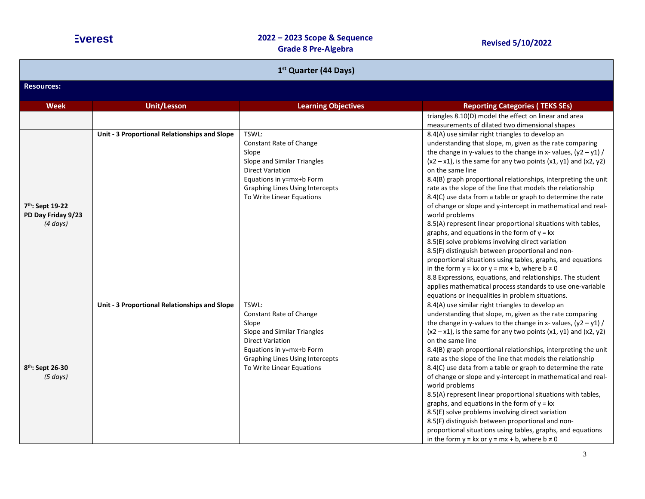| 1 <sup>st</sup> Quarter (44 Days)                      |                                               |                                                                                                                                                                                                        |                                                                                                                                                                                                                                                                                                                                                                                                                                                                                                                                                                                                                                                                                                                                                                                                                                                                                                                                                                                                                                                                                                  |
|--------------------------------------------------------|-----------------------------------------------|--------------------------------------------------------------------------------------------------------------------------------------------------------------------------------------------------------|--------------------------------------------------------------------------------------------------------------------------------------------------------------------------------------------------------------------------------------------------------------------------------------------------------------------------------------------------------------------------------------------------------------------------------------------------------------------------------------------------------------------------------------------------------------------------------------------------------------------------------------------------------------------------------------------------------------------------------------------------------------------------------------------------------------------------------------------------------------------------------------------------------------------------------------------------------------------------------------------------------------------------------------------------------------------------------------------------|
| <b>Resources:</b>                                      |                                               |                                                                                                                                                                                                        |                                                                                                                                                                                                                                                                                                                                                                                                                                                                                                                                                                                                                                                                                                                                                                                                                                                                                                                                                                                                                                                                                                  |
| <b>Week</b>                                            | <b>Unit/Lesson</b>                            | <b>Learning Objectives</b>                                                                                                                                                                             | <b>Reporting Categories (TEKS SEs)</b>                                                                                                                                                                                                                                                                                                                                                                                                                                                                                                                                                                                                                                                                                                                                                                                                                                                                                                                                                                                                                                                           |
|                                                        |                                               |                                                                                                                                                                                                        | triangles 8.10(D) model the effect on linear and area<br>measurements of dilated two dimensional shapes                                                                                                                                                                                                                                                                                                                                                                                                                                                                                                                                                                                                                                                                                                                                                                                                                                                                                                                                                                                          |
| 7th: Sept 19-22<br>PD Day Friday 9/23<br>$(4 \, days)$ | Unit - 3 Proportional Relationships and Slope | TSWL:<br>Constant Rate of Change<br>Slope<br>Slope and Similar Triangles<br><b>Direct Variation</b><br>Equations in y=mx+b Form<br><b>Graphing Lines Using Intercepts</b><br>To Write Linear Equations | 8.4(A) use similar right triangles to develop an<br>understanding that slope, m, given as the rate comparing<br>the change in y-values to the change in x-values, $(y2 - y1)$ /<br>$(x2 - x1)$ , is the same for any two points $(x1, y1)$ and $(x2, y2)$<br>on the same line<br>8.4(B) graph proportional relationships, interpreting the unit<br>rate as the slope of the line that models the relationship<br>8.4(C) use data from a table or graph to determine the rate<br>of change or slope and y-intercept in mathematical and real-<br>world problems<br>8.5(A) represent linear proportional situations with tables,<br>graphs, and equations in the form of $y = kx$<br>8.5(E) solve problems involving direct variation<br>8.5(F) distinguish between proportional and non-<br>proportional situations using tables, graphs, and equations<br>in the form $y = kx$ or $y = mx + b$ , where $b \ne 0$<br>8.8 Expressions, equations, and relationships. The student<br>applies mathematical process standards to use one-variable<br>equations or inequalities in problem situations. |
| 8 <sup>th</sup> : Sept 26-30<br>(5 days)               | Unit - 3 Proportional Relationships and Slope | TSWL:<br>Constant Rate of Change<br>Slope<br>Slope and Similar Triangles<br><b>Direct Variation</b><br>Equations in y=mx+b Form<br><b>Graphing Lines Using Intercepts</b><br>To Write Linear Equations | 8.4(A) use similar right triangles to develop an<br>understanding that slope, m, given as the rate comparing<br>the change in y-values to the change in x-values, $(y2 - y1)$ /<br>$(x2 - x1)$ , is the same for any two points $(x1, y1)$ and $(x2, y2)$<br>on the same line<br>8.4(B) graph proportional relationships, interpreting the unit<br>rate as the slope of the line that models the relationship<br>8.4(C) use data from a table or graph to determine the rate<br>of change or slope and y-intercept in mathematical and real-<br>world problems<br>8.5(A) represent linear proportional situations with tables,<br>graphs, and equations in the form of $y = kx$<br>8.5(E) solve problems involving direct variation<br>8.5(F) distinguish between proportional and non-<br>proportional situations using tables, graphs, and equations<br>in the form $y = kx$ or $y = mx + b$ , where $b \ne 0$                                                                                                                                                                                 |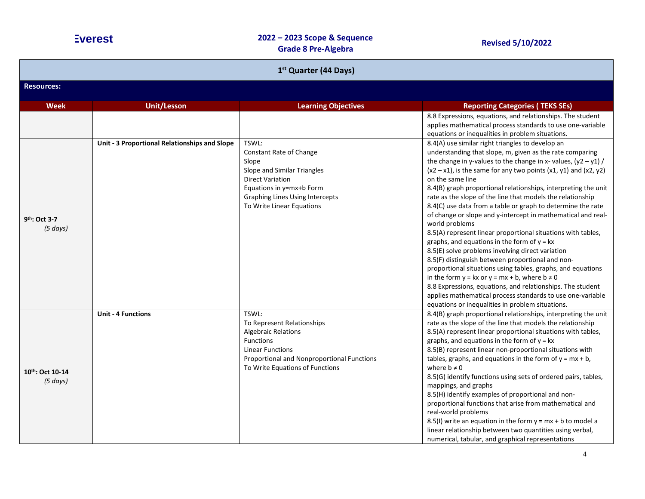| 1 <sup>st</sup> Quarter (44 Days)     |                                               |                                                                                                                                                                                                   |                                                                                                                                                                                                                                                                                                                                                                                                                                                                                                                                                                                                                                                                                                                                                                                                                                                                                                                                                                                                                                                                                                  |  |  |
|---------------------------------------|-----------------------------------------------|---------------------------------------------------------------------------------------------------------------------------------------------------------------------------------------------------|--------------------------------------------------------------------------------------------------------------------------------------------------------------------------------------------------------------------------------------------------------------------------------------------------------------------------------------------------------------------------------------------------------------------------------------------------------------------------------------------------------------------------------------------------------------------------------------------------------------------------------------------------------------------------------------------------------------------------------------------------------------------------------------------------------------------------------------------------------------------------------------------------------------------------------------------------------------------------------------------------------------------------------------------------------------------------------------------------|--|--|
| <b>Resources:</b>                     |                                               |                                                                                                                                                                                                   |                                                                                                                                                                                                                                                                                                                                                                                                                                                                                                                                                                                                                                                                                                                                                                                                                                                                                                                                                                                                                                                                                                  |  |  |
| Week                                  | <b>Unit/Lesson</b>                            | <b>Learning Objectives</b>                                                                                                                                                                        | <b>Reporting Categories (TEKS SEs)</b>                                                                                                                                                                                                                                                                                                                                                                                                                                                                                                                                                                                                                                                                                                                                                                                                                                                                                                                                                                                                                                                           |  |  |
|                                       |                                               | TSWL:                                                                                                                                                                                             | 8.8 Expressions, equations, and relationships. The student<br>applies mathematical process standards to use one-variable<br>equations or inequalities in problem situations.                                                                                                                                                                                                                                                                                                                                                                                                                                                                                                                                                                                                                                                                                                                                                                                                                                                                                                                     |  |  |
| 9 <sup>th</sup> : Oct 3-7<br>(5 days) | Unit - 3 Proportional Relationships and Slope | Constant Rate of Change<br>Slope<br>Slope and Similar Triangles<br><b>Direct Variation</b><br>Equations in y=mx+b Form<br><b>Graphing Lines Using Intercepts</b><br>To Write Linear Equations     | 8.4(A) use similar right triangles to develop an<br>understanding that slope, m, given as the rate comparing<br>the change in y-values to the change in x-values, $(y2 - y1)$ /<br>$(x2 - x1)$ , is the same for any two points $(x1, y1)$ and $(x2, y2)$<br>on the same line<br>8.4(B) graph proportional relationships, interpreting the unit<br>rate as the slope of the line that models the relationship<br>8.4(C) use data from a table or graph to determine the rate<br>of change or slope and y-intercept in mathematical and real-<br>world problems<br>8.5(A) represent linear proportional situations with tables,<br>graphs, and equations in the form of $y = kx$<br>8.5(E) solve problems involving direct variation<br>8.5(F) distinguish between proportional and non-<br>proportional situations using tables, graphs, and equations<br>in the form $y = kx$ or $y = mx + b$ , where $b \ne 0$<br>8.8 Expressions, equations, and relationships. The student<br>applies mathematical process standards to use one-variable<br>equations or inequalities in problem situations. |  |  |
| 10th: Oct 10-14<br>(5 days)           | <b>Unit - 4 Functions</b>                     | TSWL:<br>To Represent Relationships<br><b>Algebraic Relations</b><br><b>Functions</b><br><b>Linear Functions</b><br>Proportional and Nonproportional Functions<br>To Write Equations of Functions | 8.4(B) graph proportional relationships, interpreting the unit<br>rate as the slope of the line that models the relationship<br>8.5(A) represent linear proportional situations with tables,<br>graphs, and equations in the form of $y = kx$<br>8.5(B) represent linear non-proportional situations with<br>tables, graphs, and equations in the form of $y = mx + b$ ,<br>where $b \neq 0$<br>8.5(G) identify functions using sets of ordered pairs, tables,<br>mappings, and graphs<br>8.5(H) identify examples of proportional and non-<br>proportional functions that arise from mathematical and<br>real-world problems<br>8.5(I) write an equation in the form $y = mx + b$ to model a<br>linear relationship between two quantities using verbal,<br>numerical, tabular, and graphical representations                                                                                                                                                                                                                                                                                   |  |  |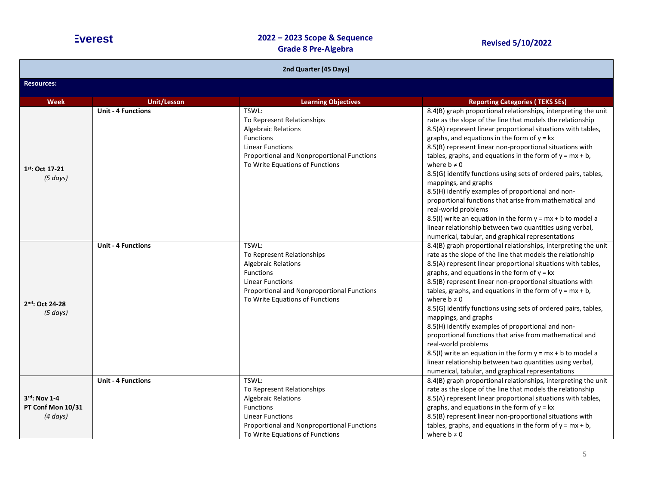| 2nd Quarter (45 Days)                                 |                           |                                                                                                                                                                                                   |                                                                                                                                                                                                                                                                                                                                                                                                                                                                                                                                                                                                                                                                                                                                                                                                                |
|-------------------------------------------------------|---------------------------|---------------------------------------------------------------------------------------------------------------------------------------------------------------------------------------------------|----------------------------------------------------------------------------------------------------------------------------------------------------------------------------------------------------------------------------------------------------------------------------------------------------------------------------------------------------------------------------------------------------------------------------------------------------------------------------------------------------------------------------------------------------------------------------------------------------------------------------------------------------------------------------------------------------------------------------------------------------------------------------------------------------------------|
| <b>Resources:</b>                                     |                           |                                                                                                                                                                                                   |                                                                                                                                                                                                                                                                                                                                                                                                                                                                                                                                                                                                                                                                                                                                                                                                                |
| <b>Week</b>                                           | <b>Unit/Lesson</b>        | <b>Learning Objectives</b>                                                                                                                                                                        | <b>Reporting Categories (TEKS SEs)</b>                                                                                                                                                                                                                                                                                                                                                                                                                                                                                                                                                                                                                                                                                                                                                                         |
| 1st: Oct 17-21<br>(5 days)                            | <b>Unit - 4 Functions</b> | TSWL:<br>To Represent Relationships<br><b>Algebraic Relations</b><br><b>Functions</b><br><b>Linear Functions</b><br>Proportional and Nonproportional Functions<br>To Write Equations of Functions | 8.4(B) graph proportional relationships, interpreting the unit<br>rate as the slope of the line that models the relationship<br>8.5(A) represent linear proportional situations with tables,<br>graphs, and equations in the form of $y = kx$<br>8.5(B) represent linear non-proportional situations with<br>tables, graphs, and equations in the form of $y = mx + b$ ,<br>where $b \neq 0$<br>8.5(G) identify functions using sets of ordered pairs, tables,<br>mappings, and graphs<br>8.5(H) identify examples of proportional and non-<br>proportional functions that arise from mathematical and<br>real-world problems<br>8.5(I) write an equation in the form $y = mx + b$ to model a<br>linear relationship between two quantities using verbal,<br>numerical, tabular, and graphical representations |
| 2nd: Oct 24-28<br>(5 days)                            | <b>Unit - 4 Functions</b> | TSWL:<br>To Represent Relationships<br><b>Algebraic Relations</b><br><b>Functions</b><br><b>Linear Functions</b><br>Proportional and Nonproportional Functions<br>To Write Equations of Functions | 8.4(B) graph proportional relationships, interpreting the unit<br>rate as the slope of the line that models the relationship<br>8.5(A) represent linear proportional situations with tables,<br>graphs, and equations in the form of $y = kx$<br>8.5(B) represent linear non-proportional situations with<br>tables, graphs, and equations in the form of $y = mx + b$ ,<br>where $b \neq 0$<br>8.5(G) identify functions using sets of ordered pairs, tables,<br>mappings, and graphs<br>8.5(H) identify examples of proportional and non-<br>proportional functions that arise from mathematical and<br>real-world problems<br>8.5(I) write an equation in the form $y = mx + b$ to model a<br>linear relationship between two quantities using verbal,<br>numerical, tabular, and graphical representations |
| $3rd$ : Nov 1-4<br>PT Conf Mon 10/31<br>$(4 \, days)$ | <b>Unit - 4 Functions</b> | TSWL:<br>To Represent Relationships<br><b>Algebraic Relations</b><br><b>Functions</b><br><b>Linear Functions</b><br>Proportional and Nonproportional Functions<br>To Write Equations of Functions | 8.4(B) graph proportional relationships, interpreting the unit<br>rate as the slope of the line that models the relationship<br>8.5(A) represent linear proportional situations with tables,<br>graphs, and equations in the form of $y = kx$<br>8.5(B) represent linear non-proportional situations with<br>tables, graphs, and equations in the form of $y = mx + b$ ,<br>where $b \neq 0$                                                                                                                                                                                                                                                                                                                                                                                                                   |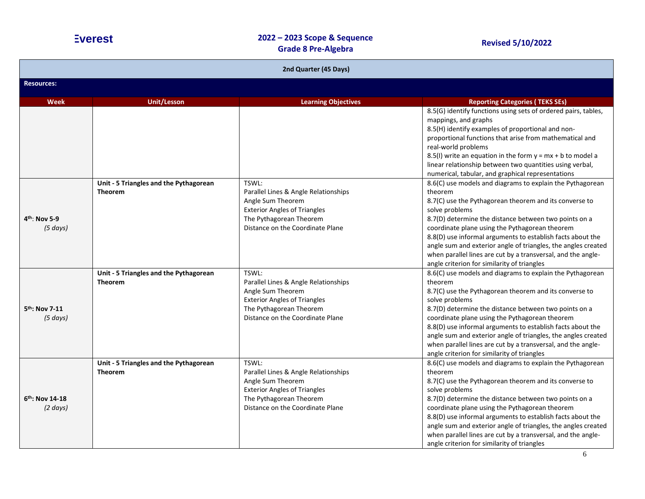| 2nd Quarter (45 Days)                  |                                                          |                                                                                                                                                                          |                                                                                                                                                                                                                                                                                                                                                                                                                                                                                                           |  |  |
|----------------------------------------|----------------------------------------------------------|--------------------------------------------------------------------------------------------------------------------------------------------------------------------------|-----------------------------------------------------------------------------------------------------------------------------------------------------------------------------------------------------------------------------------------------------------------------------------------------------------------------------------------------------------------------------------------------------------------------------------------------------------------------------------------------------------|--|--|
| <b>Resources:</b>                      |                                                          |                                                                                                                                                                          |                                                                                                                                                                                                                                                                                                                                                                                                                                                                                                           |  |  |
| <b>Week</b>                            | <b>Unit/Lesson</b>                                       | <b>Learning Objectives</b>                                                                                                                                               | <b>Reporting Categories (TEKS SEs)</b>                                                                                                                                                                                                                                                                                                                                                                                                                                                                    |  |  |
|                                        |                                                          |                                                                                                                                                                          | 8.5(G) identify functions using sets of ordered pairs, tables,<br>mappings, and graphs<br>8.5(H) identify examples of proportional and non-<br>proportional functions that arise from mathematical and<br>real-world problems<br>8.5(I) write an equation in the form $y = mx + b$ to model a<br>linear relationship between two quantities using verbal,<br>numerical, tabular, and graphical representations                                                                                            |  |  |
| 4 <sup>th</sup> : Nov 5-9<br>(5 days)  | Unit - 5 Triangles and the Pythagorean<br><b>Theorem</b> | TSWL:<br>Parallel Lines & Angle Relationships<br>Angle Sum Theorem<br><b>Exterior Angles of Triangles</b><br>The Pythagorean Theorem<br>Distance on the Coordinate Plane | 8.6(C) use models and diagrams to explain the Pythagorean<br>theorem<br>8.7(C) use the Pythagorean theorem and its converse to<br>solve problems<br>8.7(D) determine the distance between two points on a<br>coordinate plane using the Pythagorean theorem<br>8.8(D) use informal arguments to establish facts about the<br>angle sum and exterior angle of triangles, the angles created<br>when parallel lines are cut by a transversal, and the angle-<br>angle criterion for similarity of triangles |  |  |
| 5 <sup>th</sup> : Nov 7-11<br>(5 days) | Unit - 5 Triangles and the Pythagorean<br><b>Theorem</b> | TSWL:<br>Parallel Lines & Angle Relationships<br>Angle Sum Theorem<br><b>Exterior Angles of Triangles</b><br>The Pythagorean Theorem<br>Distance on the Coordinate Plane | 8.6(C) use models and diagrams to explain the Pythagorean<br>theorem<br>8.7(C) use the Pythagorean theorem and its converse to<br>solve problems<br>8.7(D) determine the distance between two points on a<br>coordinate plane using the Pythagorean theorem<br>8.8(D) use informal arguments to establish facts about the<br>angle sum and exterior angle of triangles, the angles created<br>when parallel lines are cut by a transversal, and the angle-<br>angle criterion for similarity of triangles |  |  |
| 6th: Nov 14-18<br>$(2 \text{ days})$   | Unit - 5 Triangles and the Pythagorean<br><b>Theorem</b> | TSWL:<br>Parallel Lines & Angle Relationships<br>Angle Sum Theorem<br><b>Exterior Angles of Triangles</b><br>The Pythagorean Theorem<br>Distance on the Coordinate Plane | 8.6(C) use models and diagrams to explain the Pythagorean<br>theorem<br>8.7(C) use the Pythagorean theorem and its converse to<br>solve problems<br>8.7(D) determine the distance between two points on a<br>coordinate plane using the Pythagorean theorem<br>8.8(D) use informal arguments to establish facts about the<br>angle sum and exterior angle of triangles, the angles created<br>when parallel lines are cut by a transversal, and the angle-<br>angle criterion for similarity of triangles |  |  |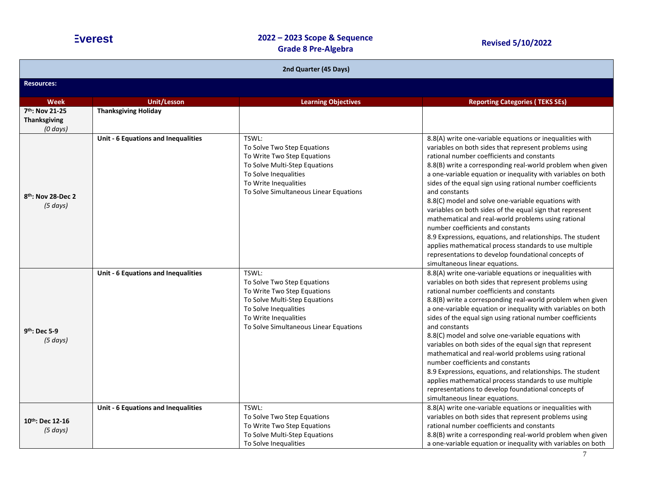| 2nd Quarter (45 Days)                                  |                                     |                                                                                                                                                                                                  |                                                                                                                                                                                                                                                                                                                                                                                                                                                                                                                                                                                                                                                                                                                                                                                                             |  |
|--------------------------------------------------------|-------------------------------------|--------------------------------------------------------------------------------------------------------------------------------------------------------------------------------------------------|-------------------------------------------------------------------------------------------------------------------------------------------------------------------------------------------------------------------------------------------------------------------------------------------------------------------------------------------------------------------------------------------------------------------------------------------------------------------------------------------------------------------------------------------------------------------------------------------------------------------------------------------------------------------------------------------------------------------------------------------------------------------------------------------------------------|--|
| <b>Resources:</b>                                      |                                     |                                                                                                                                                                                                  |                                                                                                                                                                                                                                                                                                                                                                                                                                                                                                                                                                                                                                                                                                                                                                                                             |  |
| <b>Week</b>                                            | <b>Unit/Lesson</b>                  | <b>Learning Objectives</b>                                                                                                                                                                       | <b>Reporting Categories (TEKS SEs)</b>                                                                                                                                                                                                                                                                                                                                                                                                                                                                                                                                                                                                                                                                                                                                                                      |  |
| 7th: Nov 21-25<br><b>Thanksgiving</b><br>$(0 \, days)$ | <b>Thanksgiving Holiday</b>         |                                                                                                                                                                                                  |                                                                                                                                                                                                                                                                                                                                                                                                                                                                                                                                                                                                                                                                                                                                                                                                             |  |
| 8 <sup>th</sup> : Nov 28-Dec 2<br>(5 days)             | Unit - 6 Equations and Inequalities | TSWL:<br>To Solve Two Step Equations<br>To Write Two Step Equations<br>To Solve Multi-Step Equations<br>To Solve Inequalities<br>To Write Inequalities<br>To Solve Simultaneous Linear Equations | 8.8(A) write one-variable equations or inequalities with<br>variables on both sides that represent problems using<br>rational number coefficients and constants<br>8.8(B) write a corresponding real-world problem when given<br>a one-variable equation or inequality with variables on both<br>sides of the equal sign using rational number coefficients<br>and constants<br>8.8(C) model and solve one-variable equations with<br>variables on both sides of the equal sign that represent<br>mathematical and real-world problems using rational<br>number coefficients and constants<br>8.9 Expressions, equations, and relationships. The student<br>applies mathematical process standards to use multiple<br>representations to develop foundational concepts of<br>simultaneous linear equations. |  |
| 9 <sup>th</sup> : Dec 5-9<br>(5 days)                  | Unit - 6 Equations and Inequalities | TSWL:<br>To Solve Two Step Equations<br>To Write Two Step Equations<br>To Solve Multi-Step Equations<br>To Solve Inequalities<br>To Write Inequalities<br>To Solve Simultaneous Linear Equations | 8.8(A) write one-variable equations or inequalities with<br>variables on both sides that represent problems using<br>rational number coefficients and constants<br>8.8(B) write a corresponding real-world problem when given<br>a one-variable equation or inequality with variables on both<br>sides of the equal sign using rational number coefficients<br>and constants<br>8.8(C) model and solve one-variable equations with<br>variables on both sides of the equal sign that represent<br>mathematical and real-world problems using rational<br>number coefficients and constants<br>8.9 Expressions, equations, and relationships. The student<br>applies mathematical process standards to use multiple<br>representations to develop foundational concepts of<br>simultaneous linear equations. |  |
| $10^{th}$ : Dec 12-16<br>(5 days)                      | Unit - 6 Equations and Inequalities | TSWL:<br>To Solve Two Step Equations<br>To Write Two Step Equations<br>To Solve Multi-Step Equations<br>To Solve Inequalities                                                                    | 8.8(A) write one-variable equations or inequalities with<br>variables on both sides that represent problems using<br>rational number coefficients and constants<br>8.8(B) write a corresponding real-world problem when given<br>a one-variable equation or inequality with variables on both                                                                                                                                                                                                                                                                                                                                                                                                                                                                                                               |  |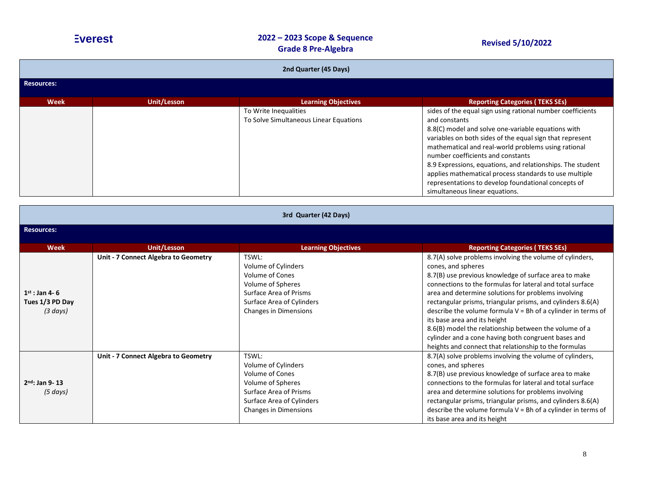| 2nd Quarter (45 Days) |             |                                                                 |                                                                                                                                                                                                                                                                                                                                                                                                                                                                                                            |  |
|-----------------------|-------------|-----------------------------------------------------------------|------------------------------------------------------------------------------------------------------------------------------------------------------------------------------------------------------------------------------------------------------------------------------------------------------------------------------------------------------------------------------------------------------------------------------------------------------------------------------------------------------------|--|
| Resources:            |             |                                                                 |                                                                                                                                                                                                                                                                                                                                                                                                                                                                                                            |  |
| <b>Week</b>           | Unit/Lesson | <b>Learning Objectives</b>                                      | <b>Reporting Categories (TEKS SEs)</b>                                                                                                                                                                                                                                                                                                                                                                                                                                                                     |  |
|                       |             | To Write Inequalities<br>To Solve Simultaneous Linear Equations | sides of the equal sign using rational number coefficients<br>and constants<br>8.8(C) model and solve one-variable equations with<br>variables on both sides of the equal sign that represent<br>mathematical and real-world problems using rational<br>number coefficients and constants<br>8.9 Expressions, equations, and relationships. The student<br>applies mathematical process standards to use multiple<br>representations to develop foundational concepts of<br>simultaneous linear equations. |  |

| 3rd Quarter (42 Days)                                    |                                      |                                                                                                                                                                           |                                                                                                                                                                                                                                                                                                                                                                                                                                                                                                                                                                                                       |
|----------------------------------------------------------|--------------------------------------|---------------------------------------------------------------------------------------------------------------------------------------------------------------------------|-------------------------------------------------------------------------------------------------------------------------------------------------------------------------------------------------------------------------------------------------------------------------------------------------------------------------------------------------------------------------------------------------------------------------------------------------------------------------------------------------------------------------------------------------------------------------------------------------------|
| <b>Resources:</b>                                        |                                      |                                                                                                                                                                           |                                                                                                                                                                                                                                                                                                                                                                                                                                                                                                                                                                                                       |
| <b>Week</b>                                              | Unit/Lesson                          | <b>Learning Objectives</b>                                                                                                                                                | <b>Reporting Categories (TEKS SEs)</b>                                                                                                                                                                                                                                                                                                                                                                                                                                                                                                                                                                |
| $1st$ : Jan 4-6<br>Tues 1/3 PD Day<br>$(3 \text{ days})$ | Unit - 7 Connect Algebra to Geometry | TSWL:<br>Volume of Cylinders<br><b>Volume of Cones</b><br><b>Volume of Spheres</b><br>Surface Area of Prisms<br>Surface Area of Cylinders<br><b>Changes in Dimensions</b> | 8.7(A) solve problems involving the volume of cylinders,<br>cones, and spheres<br>8.7(B) use previous knowledge of surface area to make<br>connections to the formulas for lateral and total surface<br>area and determine solutions for problems involving<br>rectangular prisms, triangular prisms, and cylinders 8.6(A)<br>describe the volume formula $V = Bh$ of a cylinder in terms of<br>its base area and its height<br>8.6(B) model the relationship between the volume of a<br>cylinder and a cone having both congruent bases and<br>heights and connect that relationship to the formulas |
| $2nd$ : Jan 9-13<br>$(5 \, days)$                        | Unit - 7 Connect Algebra to Geometry | TSWL:<br>Volume of Cylinders<br><b>Volume of Cones</b><br>Volume of Spheres<br>Surface Area of Prisms<br>Surface Area of Cylinders<br><b>Changes in Dimensions</b>        | 8.7(A) solve problems involving the volume of cylinders,<br>cones, and spheres<br>8.7(B) use previous knowledge of surface area to make<br>connections to the formulas for lateral and total surface<br>area and determine solutions for problems involving<br>rectangular prisms, triangular prisms, and cylinders 8.6(A)<br>describe the volume formula $V = Bh$ of a cylinder in terms of<br>its base area and its height                                                                                                                                                                          |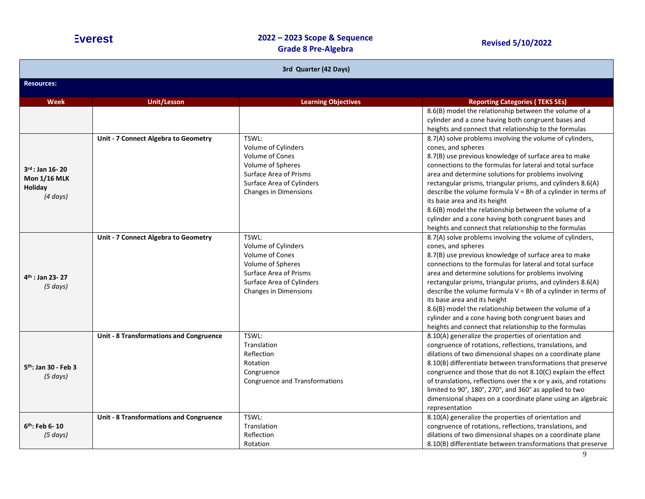| 3rd Quarter (42 Days)                                                   |                                                |                                                                                                                                                                           |                                                                                                                                                                                                                                                                                                                                                                                                                                                                                                                                                                                                     |  |
|-------------------------------------------------------------------------|------------------------------------------------|---------------------------------------------------------------------------------------------------------------------------------------------------------------------------|-----------------------------------------------------------------------------------------------------------------------------------------------------------------------------------------------------------------------------------------------------------------------------------------------------------------------------------------------------------------------------------------------------------------------------------------------------------------------------------------------------------------------------------------------------------------------------------------------------|--|
| <b>Resources:</b>                                                       |                                                |                                                                                                                                                                           |                                                                                                                                                                                                                                                                                                                                                                                                                                                                                                                                                                                                     |  |
| <b>Week</b>                                                             | <b>Unit/Lesson</b>                             | <b>Learning Objectives</b>                                                                                                                                                | <b>Reporting Categories (TEKS SEs)</b>                                                                                                                                                                                                                                                                                                                                                                                                                                                                                                                                                              |  |
|                                                                         |                                                |                                                                                                                                                                           | 8.6(B) model the relationship between the volume of a<br>cylinder and a cone having both congruent bases and<br>heights and connect that relationship to the formulas                                                                                                                                                                                                                                                                                                                                                                                                                               |  |
| $3^{rd}$ : Jan 16-20<br><b>Mon 1/16 MLK</b><br>Holiday<br>$(4 \, days)$ | Unit - 7 Connect Algebra to Geometry           | TSWL:<br>Volume of Cylinders<br><b>Volume of Cones</b><br>Volume of Spheres<br><b>Surface Area of Prisms</b><br>Surface Area of Cylinders<br><b>Changes in Dimensions</b> | 8.7(A) solve problems involving the volume of cylinders,<br>cones, and spheres<br>8.7(B) use previous knowledge of surface area to make<br>connections to the formulas for lateral and total surface<br>area and determine solutions for problems involving<br>rectangular prisms, triangular prisms, and cylinders 8.6(A)<br>describe the volume formula V = Bh of a cylinder in terms of<br>its base area and its height<br>8.6(B) model the relationship between the volume of a<br>cylinder and a cone having both congruent bases and<br>heights and connect that relationship to the formulas |  |
| $4th$ : Jan 23-27<br>$(5 \, days)$                                      | Unit - 7 Connect Algebra to Geometry           | TSWL:<br>Volume of Cylinders<br><b>Volume of Cones</b><br>Volume of Spheres<br><b>Surface Area of Prisms</b><br>Surface Area of Cylinders<br><b>Changes in Dimensions</b> | 8.7(A) solve problems involving the volume of cylinders,<br>cones, and spheres<br>8.7(B) use previous knowledge of surface area to make<br>connections to the formulas for lateral and total surface<br>area and determine solutions for problems involving<br>rectangular prisms, triangular prisms, and cylinders 8.6(A)<br>describe the volume formula V = Bh of a cylinder in terms of<br>its base area and its height<br>8.6(B) model the relationship between the volume of a<br>cylinder and a cone having both congruent bases and<br>heights and connect that relationship to the formulas |  |
| 5 <sup>th</sup> : Jan 30 - Feb 3<br>(5 days)                            | <b>Unit - 8 Transformations and Congruence</b> | TSWL:<br>Translation<br>Reflection<br>Rotation<br>Congruence<br>Congruence and Transformations                                                                            | 8.10(A) generalize the properties of orientation and<br>congruence of rotations, reflections, translations, and<br>dilations of two dimensional shapes on a coordinate plane<br>8.10(B) differentiate between transformations that preserve<br>congruence and those that do not 8.10(C) explain the effect<br>of translations, reflections over the x or y axis, and rotations<br>limited to 90°, 180°, 270°, and 360° as applied to two<br>dimensional shapes on a coordinate plane using an algebraic<br>representation                                                                           |  |
| 6 <sup>th</sup> : Feb 6-10<br>(5 days)                                  | <b>Unit - 8 Transformations and Congruence</b> | TSWL:<br>Translation<br>Reflection<br>Rotation                                                                                                                            | 8.10(A) generalize the properties of orientation and<br>congruence of rotations, reflections, translations, and<br>dilations of two dimensional shapes on a coordinate plane<br>8.10(B) differentiate between transformations that preserve                                                                                                                                                                                                                                                                                                                                                         |  |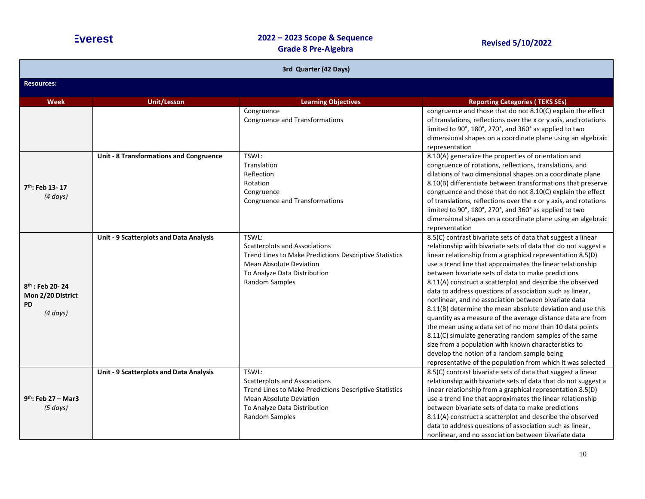| 3rd Quarter (42 Days)                                                |                                         |                                                                                                                                                                                             |                                                                                                                                                                                                                                                                                                                                                                                                                                                                                                                                                                                                                                                                                                                                                                                                                                                                                                                            |
|----------------------------------------------------------------------|-----------------------------------------|---------------------------------------------------------------------------------------------------------------------------------------------------------------------------------------------|----------------------------------------------------------------------------------------------------------------------------------------------------------------------------------------------------------------------------------------------------------------------------------------------------------------------------------------------------------------------------------------------------------------------------------------------------------------------------------------------------------------------------------------------------------------------------------------------------------------------------------------------------------------------------------------------------------------------------------------------------------------------------------------------------------------------------------------------------------------------------------------------------------------------------|
| <b>Resources:</b>                                                    |                                         |                                                                                                                                                                                             |                                                                                                                                                                                                                                                                                                                                                                                                                                                                                                                                                                                                                                                                                                                                                                                                                                                                                                                            |
| <b>Week</b>                                                          | <b>Unit/Lesson</b>                      | <b>Learning Objectives</b>                                                                                                                                                                  | <b>Reporting Categories (TEKS SEs)</b>                                                                                                                                                                                                                                                                                                                                                                                                                                                                                                                                                                                                                                                                                                                                                                                                                                                                                     |
|                                                                      |                                         | Congruence<br>Congruence and Transformations                                                                                                                                                | congruence and those that do not 8.10(C) explain the effect<br>of translations, reflections over the x or y axis, and rotations<br>limited to 90°, 180°, 270°, and 360° as applied to two<br>dimensional shapes on a coordinate plane using an algebraic<br>representation                                                                                                                                                                                                                                                                                                                                                                                                                                                                                                                                                                                                                                                 |
| 7 <sup>th</sup> : Feb 13-17<br>$(4 \, days)$                         | Unit - 8 Transformations and Congruence | TSWL:<br>Translation<br>Reflection<br>Rotation<br>Congruence<br><b>Congruence and Transformations</b>                                                                                       | 8.10(A) generalize the properties of orientation and<br>congruence of rotations, reflections, translations, and<br>dilations of two dimensional shapes on a coordinate plane<br>8.10(B) differentiate between transformations that preserve<br>congruence and those that do not 8.10(C) explain the effect<br>of translations, reflections over the x or y axis, and rotations<br>limited to 90°, 180°, 270°, and 360° as applied to two<br>dimensional shapes on a coordinate plane using an algebraic<br>representation                                                                                                                                                                                                                                                                                                                                                                                                  |
| $8th$ : Feb 20-24<br>Mon 2/20 District<br><b>PD</b><br>$(4 \, days)$ | Unit - 9 Scatterplots and Data Analysis | TSWL:<br><b>Scatterplots and Associations</b><br>Trend Lines to Make Predictions Descriptive Statistics<br><b>Mean Absolute Deviation</b><br>To Analyze Data Distribution<br>Random Samples | 8.5(C) contrast bivariate sets of data that suggest a linear<br>relationship with bivariate sets of data that do not suggest a<br>linear relationship from a graphical representation 8.5(D)<br>use a trend line that approximates the linear relationship<br>between bivariate sets of data to make predictions<br>8.11(A) construct a scatterplot and describe the observed<br>data to address questions of association such as linear,<br>nonlinear, and no association between bivariate data<br>8.11(B) determine the mean absolute deviation and use this<br>quantity as a measure of the average distance data are from<br>the mean using a data set of no more than 10 data points<br>8.11(C) simulate generating random samples of the same<br>size from a population with known characteristics to<br>develop the notion of a random sample being<br>representative of the population from which it was selected |
| $9th$ : Feb 27 - Mar3<br>(5 days)                                    | Unit - 9 Scatterplots and Data Analysis | TSWL:<br><b>Scatterplots and Associations</b><br>Trend Lines to Make Predictions Descriptive Statistics<br><b>Mean Absolute Deviation</b><br>To Analyze Data Distribution<br>Random Samples | 8.5(C) contrast bivariate sets of data that suggest a linear<br>relationship with bivariate sets of data that do not suggest a<br>linear relationship from a graphical representation 8.5(D)<br>use a trend line that approximates the linear relationship<br>between bivariate sets of data to make predictions<br>8.11(A) construct a scatterplot and describe the observed<br>data to address questions of association such as linear,<br>nonlinear, and no association between bivariate data                                                                                                                                                                                                                                                                                                                                                                                                                          |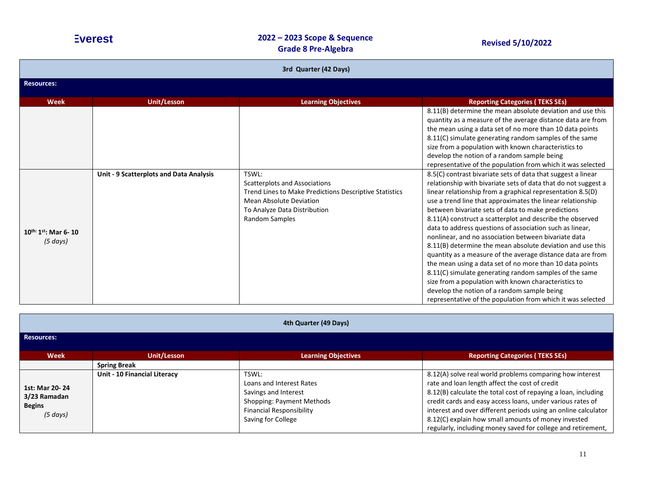| 3rd Quarter (42 Days)                   |                                         |                                                                                                                                                                                                    |                                                                                                                                                                                                                                                                                                                                                                                                                                                                                                                                                                                                                                                                                                                                                                                                                                                                                                                            |
|-----------------------------------------|-----------------------------------------|----------------------------------------------------------------------------------------------------------------------------------------------------------------------------------------------------|----------------------------------------------------------------------------------------------------------------------------------------------------------------------------------------------------------------------------------------------------------------------------------------------------------------------------------------------------------------------------------------------------------------------------------------------------------------------------------------------------------------------------------------------------------------------------------------------------------------------------------------------------------------------------------------------------------------------------------------------------------------------------------------------------------------------------------------------------------------------------------------------------------------------------|
| <b>Resources:</b>                       |                                         |                                                                                                                                                                                                    |                                                                                                                                                                                                                                                                                                                                                                                                                                                                                                                                                                                                                                                                                                                                                                                                                                                                                                                            |
| <b>Week</b>                             | <b>Unit/Lesson</b>                      | <b>Learning Objectives</b>                                                                                                                                                                         | <b>Reporting Categories (TEKS SEs)</b>                                                                                                                                                                                                                                                                                                                                                                                                                                                                                                                                                                                                                                                                                                                                                                                                                                                                                     |
|                                         |                                         |                                                                                                                                                                                                    | 8.11(B) determine the mean absolute deviation and use this<br>quantity as a measure of the average distance data are from<br>the mean using a data set of no more than 10 data points<br>8.11(C) simulate generating random samples of the same                                                                                                                                                                                                                                                                                                                                                                                                                                                                                                                                                                                                                                                                            |
|                                         |                                         |                                                                                                                                                                                                    | size from a population with known characteristics to<br>develop the notion of a random sample being<br>representative of the population from which it was selected                                                                                                                                                                                                                                                                                                                                                                                                                                                                                                                                                                                                                                                                                                                                                         |
| $10^{th:}1^{st}$ : Mar 6-10<br>(5 days) | Unit - 9 Scatterplots and Data Analysis | TSWL:<br><b>Scatterplots and Associations</b><br><b>Trend Lines to Make Predictions Descriptive Statistics</b><br>Mean Absolute Deviation<br>To Analyze Data Distribution<br><b>Random Samples</b> | 8.5(C) contrast bivariate sets of data that suggest a linear<br>relationship with bivariate sets of data that do not suggest a<br>linear relationship from a graphical representation 8.5(D)<br>use a trend line that approximates the linear relationship<br>between bivariate sets of data to make predictions<br>8.11(A) construct a scatterplot and describe the observed<br>data to address questions of association such as linear,<br>nonlinear, and no association between bivariate data<br>8.11(B) determine the mean absolute deviation and use this<br>quantity as a measure of the average distance data are from<br>the mean using a data set of no more than 10 data points<br>8.11(C) simulate generating random samples of the same<br>size from a population with known characteristics to<br>develop the notion of a random sample being<br>representative of the population from which it was selected |

| 4th Quarter (49 Days)                                            |                              |                                                                                                                                                 |                                                                                                                                                                                                                                                                                                                                                                                                                                     |  |  |  |
|------------------------------------------------------------------|------------------------------|-------------------------------------------------------------------------------------------------------------------------------------------------|-------------------------------------------------------------------------------------------------------------------------------------------------------------------------------------------------------------------------------------------------------------------------------------------------------------------------------------------------------------------------------------------------------------------------------------|--|--|--|
| <b>Resources:</b>                                                |                              |                                                                                                                                                 |                                                                                                                                                                                                                                                                                                                                                                                                                                     |  |  |  |
| <b>Week</b>                                                      | Unit/Lesson                  | <b>Learning Objectives</b>                                                                                                                      | <b>Reporting Categories (TEKS SEs)</b>                                                                                                                                                                                                                                                                                                                                                                                              |  |  |  |
|                                                                  | <b>Spring Break</b>          |                                                                                                                                                 |                                                                                                                                                                                                                                                                                                                                                                                                                                     |  |  |  |
| 1st: Mar 20-24<br>3/23 Ramadan<br><b>Begins</b><br>$(5 \, days)$ | Unit - 10 Financial Literacy | TSWL:<br>Loans and Interest Rates<br>Savings and Interest<br>Shopping: Payment Methods<br><b>Financial Responsibility</b><br>Saving for College | 8.12(A) solve real world problems comparing how interest<br>rate and loan length affect the cost of credit<br>8.12(B) calculate the total cost of repaying a loan, including<br>credit cards and easy access loans, under various rates of<br>interest and over different periods using an online calculator<br>8.12(C) explain how small amounts of money invested<br>regularly, including money saved for college and retirement, |  |  |  |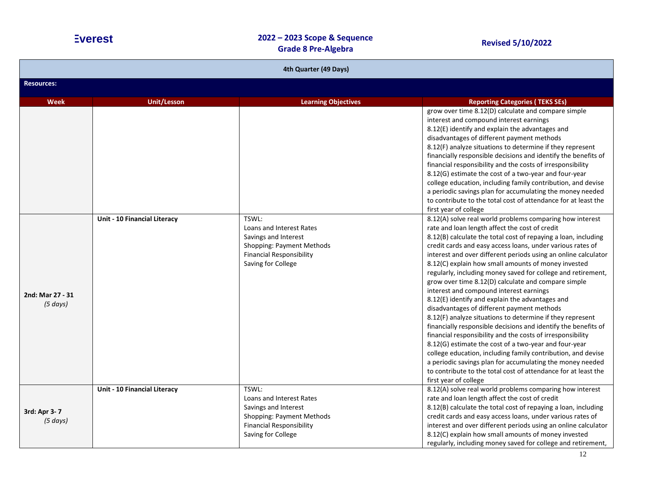| 4th Quarter (49 Days)                     |                                     |                                                                                                                                                 |                                                                                                                                                                                                                                                                                                                                                                                                                                                                                                                                                                                                                                                                                                                                                                                                                                                                                                                                                                                                                                                                                                                                                                                                                                                                           |  |  |  |
|-------------------------------------------|-------------------------------------|-------------------------------------------------------------------------------------------------------------------------------------------------|---------------------------------------------------------------------------------------------------------------------------------------------------------------------------------------------------------------------------------------------------------------------------------------------------------------------------------------------------------------------------------------------------------------------------------------------------------------------------------------------------------------------------------------------------------------------------------------------------------------------------------------------------------------------------------------------------------------------------------------------------------------------------------------------------------------------------------------------------------------------------------------------------------------------------------------------------------------------------------------------------------------------------------------------------------------------------------------------------------------------------------------------------------------------------------------------------------------------------------------------------------------------------|--|--|--|
| <b>Resources:</b>                         |                                     |                                                                                                                                                 |                                                                                                                                                                                                                                                                                                                                                                                                                                                                                                                                                                                                                                                                                                                                                                                                                                                                                                                                                                                                                                                                                                                                                                                                                                                                           |  |  |  |
| <b>Week</b>                               | <b>Unit/Lesson</b>                  | <b>Learning Objectives</b>                                                                                                                      | <b>Reporting Categories (TEKS SEs)</b>                                                                                                                                                                                                                                                                                                                                                                                                                                                                                                                                                                                                                                                                                                                                                                                                                                                                                                                                                                                                                                                                                                                                                                                                                                    |  |  |  |
| 2nd: Mar 27 - 31                          | <b>Unit - 10 Financial Literacy</b> | TSWL:<br>Loans and Interest Rates<br>Savings and Interest<br>Shopping: Payment Methods<br><b>Financial Responsibility</b><br>Saving for College | grow over time 8.12(D) calculate and compare simple<br>interest and compound interest earnings<br>8.12(E) identify and explain the advantages and<br>disadvantages of different payment methods<br>8.12(F) analyze situations to determine if they represent<br>financially responsible decisions and identify the benefits of<br>financial responsibility and the costs of irresponsibility<br>8.12(G) estimate the cost of a two-year and four-year<br>college education, including family contribution, and devise<br>a periodic savings plan for accumulating the money needed<br>to contribute to the total cost of attendance for at least the<br>first year of college<br>8.12(A) solve real world problems comparing how interest<br>rate and loan length affect the cost of credit<br>8.12(B) calculate the total cost of repaying a loan, including<br>credit cards and easy access loans, under various rates of<br>interest and over different periods using an online calculator<br>8.12(C) explain how small amounts of money invested<br>regularly, including money saved for college and retirement,<br>grow over time 8.12(D) calculate and compare simple<br>interest and compound interest earnings<br>8.12(E) identify and explain the advantages and |  |  |  |
| (5 days)<br>3rd: Apr 3-7<br>$(5 \, days)$ | Unit - 10 Financial Literacy        | TSWL:<br>Loans and Interest Rates<br>Savings and Interest<br>Shopping: Payment Methods<br><b>Financial Responsibility</b><br>Saving for College | disadvantages of different payment methods<br>8.12(F) analyze situations to determine if they represent<br>financially responsible decisions and identify the benefits of<br>financial responsibility and the costs of irresponsibility<br>8.12(G) estimate the cost of a two-year and four-year<br>college education, including family contribution, and devise<br>a periodic savings plan for accumulating the money needed<br>to contribute to the total cost of attendance for at least the<br>first year of college<br>8.12(A) solve real world problems comparing how interest<br>rate and loan length affect the cost of credit<br>8.12(B) calculate the total cost of repaying a loan, including<br>credit cards and easy access loans, under various rates of<br>interest and over different periods using an online calculator<br>8.12(C) explain how small amounts of money invested<br>regularly, including money saved for college and retirement,                                                                                                                                                                                                                                                                                                           |  |  |  |